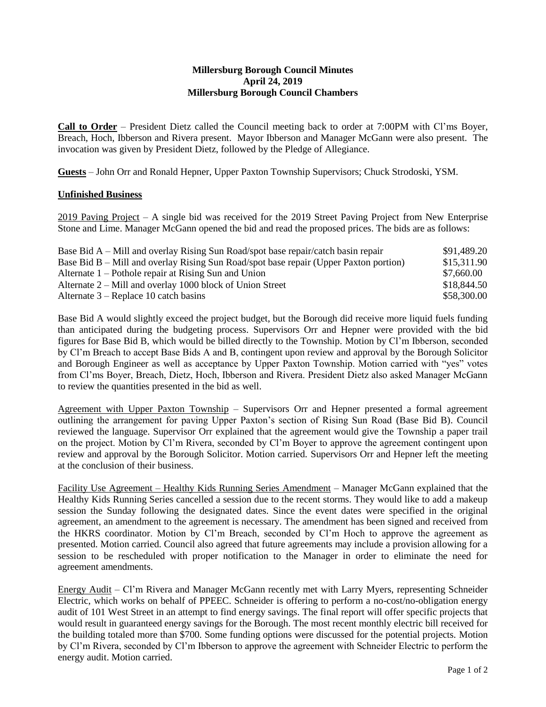## **Millersburg Borough Council Minutes April 24, 2019 Millersburg Borough Council Chambers**

**Call to Order** – President Dietz called the Council meeting back to order at 7:00PM with Cl'ms Boyer, Breach, Hoch, Ibberson and Rivera present. Mayor Ibberson and Manager McGann were also present. The invocation was given by President Dietz, followed by the Pledge of Allegiance.

**Guests** – John Orr and Ronald Hepner, Upper Paxton Township Supervisors; Chuck Strodoski, YSM.

## **Unfinished Business**

2019 Paving Project – A single bid was received for the 2019 Street Paving Project from New Enterprise Stone and Lime. Manager McGann opened the bid and read the proposed prices. The bids are as follows:

| Base Bid A – Mill and overlay Rising Sun Road/spot base repair/catch basin repair     | \$91,489.20 |
|---------------------------------------------------------------------------------------|-------------|
| Base Bid B – Mill and overlay Rising Sun Road/spot base repair (Upper Paxton portion) | \$15,311.90 |
| Alternate $1$ – Pothole repair at Rising Sun and Union                                | \$7,660.00  |
| Alternate $2 -$ Mill and overlay 1000 block of Union Street                           | \$18,844.50 |
| Alternate $3$ – Replace 10 catch basins                                               | \$58,300.00 |

Base Bid A would slightly exceed the project budget, but the Borough did receive more liquid fuels funding than anticipated during the budgeting process. Supervisors Orr and Hepner were provided with the bid figures for Base Bid B, which would be billed directly to the Township. Motion by Cl'm Ibberson, seconded by Cl'm Breach to accept Base Bids A and B, contingent upon review and approval by the Borough Solicitor and Borough Engineer as well as acceptance by Upper Paxton Township. Motion carried with "yes" votes from Cl'ms Boyer, Breach, Dietz, Hoch, Ibberson and Rivera. President Dietz also asked Manager McGann to review the quantities presented in the bid as well.

Agreement with Upper Paxton Township - Supervisors Orr and Hepner presented a formal agreement outlining the arrangement for paving Upper Paxton's section of Rising Sun Road (Base Bid B). Council reviewed the language. Supervisor Orr explained that the agreement would give the Township a paper trail on the project. Motion by Cl'm Rivera, seconded by Cl'm Boyer to approve the agreement contingent upon review and approval by the Borough Solicitor. Motion carried. Supervisors Orr and Hepner left the meeting at the conclusion of their business.

Facility Use Agreement – Healthy Kids Running Series Amendment – Manager McGann explained that the Healthy Kids Running Series cancelled a session due to the recent storms. They would like to add a makeup session the Sunday following the designated dates. Since the event dates were specified in the original agreement, an amendment to the agreement is necessary. The amendment has been signed and received from the HKRS coordinator. Motion by Cl'm Breach, seconded by Cl'm Hoch to approve the agreement as presented. Motion carried. Council also agreed that future agreements may include a provision allowing for a session to be rescheduled with proper notification to the Manager in order to eliminate the need for agreement amendments.

Energy Audit – Cl'm Rivera and Manager McGann recently met with Larry Myers, representing Schneider Electric, which works on behalf of PPEEC. Schneider is offering to perform a no-cost/no-obligation energy audit of 101 West Street in an attempt to find energy savings. The final report will offer specific projects that would result in guaranteed energy savings for the Borough. The most recent monthly electric bill received for the building totaled more than \$700. Some funding options were discussed for the potential projects. Motion by Cl'm Rivera, seconded by Cl'm Ibberson to approve the agreement with Schneider Electric to perform the energy audit. Motion carried.